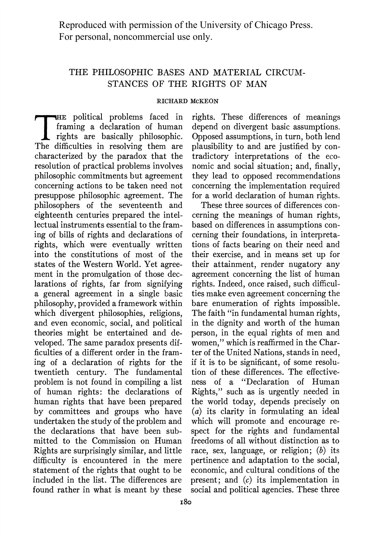Reproduced with permission of the University of Chicago Press. For personal, noncommercial use only.

## **THE PHILOSOPHIC BASES AND MATERIAL CIRCUM-STANCES OF THE RIGHTS OF MAN**

## **RICHARD MCKEON**

**<sup>E</sup>political problems faced in framing a declaration of human rights are basically philosophic. The difficulties in resolving them are characterized by the paradox that the resolution of practical problems involves philosophic commitments but agreement concerning actions to be taken need not presuppose philosophic agreement. The philosophers of the seventeenth and eighteenth centuries prepared the intellectual instruments essential to the framing of bills of rights and declarations of rights, which were eventually written into the constitutions of most of the states of the Western World. Yet agreement in the promulgation of those declarations of rights, far from signifying a general agreement in a single basic philosophy, provided a framework within which divergent philosophies, religions, and even economic, social, and political theories might be entertained and developed. The same paradox presents difficulties of a different order in the framing of a declaration of rights for the twentieth century. The fundamental problem is not found in compiling a list of human rights: the declarations of human rights that have been prepared by committees and groups who have undertaken the study of the problem and the declarations that have been submitted to the Commission on Human Rights are surprisingly similar, and little difficulty is encountered in the mere statement of the rights that ought to be included in the list. The differences are found rather in what is meant by these** 

**rights. These differences of meanings depend on divergent basic assumptions. Opposed assumptions, in turn, both lend plausibility to and are justified by contradictory interpretations of the economic and social situation; and, finally, they lead to opposed recommendations concerning the implementation required for a world declaration of human rights.** 

**These three sources of differences concerning the meanings of human rights, based on differences in assumptions concerning their foundations, in interpretations of facts bearing on their need and their exercise, and in means set up for their attainment, render nugatory any agreement concerning the list of human rights. Indeed, once raised, such difficulties make even agreement concerning the bare enumeration of rights impossible. The faith "in fundamental human rights, in the dignity and worth of the human person, in the equal rights of men and women," which is reaffirmed in the Charter of the United Nations, stands in need, if it is to be significant, of some resolution of these differences. The effectiveness of a "Declaration of Human Rights," such as is urgently needed in the world today, depends precisely on (a) its clarity in formulating an ideal which will promote and encourage respect for the rights and fundamental freedoms of all without distinction as to race, sex, language, or religion; (b) its pertinence and adaptation to the social, economic, and cultural conditions of the present; and (c) its implementation in social and political agencies. These three**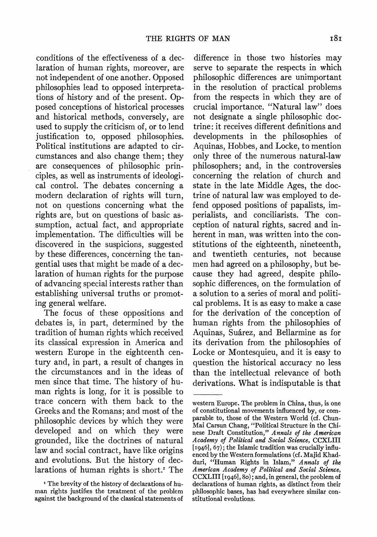**conditions of the effectiveness of a declaration of human rights, moreover, are not independent of one another. Opposed philosophies lead to opposed interpretations of history and of the present. Opposed conceptions of historical processes and historical methods, conversely, are used to supply the criticism of, or to lend justification to, opposed philosophies. Political institutions are adapted to circumstances and also change them; they are consequences of philosophic principles, as well as instruments of ideological control. The debates concerning a modern declaration of rights will turn, not on questions concerning what the rights are, but on questions of basic assumption, actual fact, and appropriate implementation. The difficulties will be discovered in the suspicions, suggested by these differences, concerning the tangential uses that might be made of a declaration of human rights for the purpose of advancing special interests rather than establishing universal truths or promoting general welfare.** 

**The focus of these oppositions and debates is, in part, determined by the tradition of human rights which received its classical expression in America and western Europe in the eighteenth century and, in part, a result of changes in the circumstances and in the ideas of men since that time. The history of human rights is long, for it is possible to trace concern with them back to the Greeks and the Romans; and most of the philosophic devices by which they were developed and on which they were grounded, like the doctrines of natural law and social contract, have like origins and evolutions. But the history of declarations of human rights is short.' The** 

**difference in those two histories may serve to separate the respects in which philosophic differences are unimportant in the resolution of practical problems from the respects in which they are of crucial importance. "Natural law" does not designate a single philosophic doctrine: it receives different definitions and developments in the philosophies of Aquinas, Hobbes, and Locke, to mention only three of the numerous natural-law philosophers; and, in the controversies concerning the relation of church and state in the late Middle Ages, the doctrine of natural law was employed to defend opposed positions of papalists, imperialists, and conciliarists. The conception of natural rights, sacred and inherent in man, was written into the constitutions of the eighteenth, nineteenth, and twentieth centuries, not because men had agreed on a philosophy, but because they had agreed, despite philosophic differences, on the formulation of a solution to a series of moral and political problems. It is as easy to make a case for the derivation of the conception of human rights from the philosophies of Aquinas, Suarez, and Bellarmine as for its derivation from the philosophies of Locke or Montesquieu, and it is easy to question the historical accuracy no less than the intellectual relevance of both derivations. What is indisputable is that** 

**<sup>1</sup> The brevity of the history of declarations of human rights justifies the treatment of the problem against the background of the classical statements of** 

**western Europe. The problem in China, thus, is one of constitutional movements influenced by, or comparable to, those of the Western World (cf. Chun-Mai Carsun Chang, "Political Structure in the Chinese Draft Constitution," Annals of the American Academy of Political and Social Science, CCXLIII [I946], 67); the Islamic tradition was crucially influenced by the Western formulations (cf. Majid Khad**duri, "Human Rights in Islam," Annals of the **American Academy of Political and Social Science, CCXLIII [I946], 8o); and, in general, the problem of declarations of human rights, as distinct from their philosophic bases, has had everywhere similar constitutional evolutions.**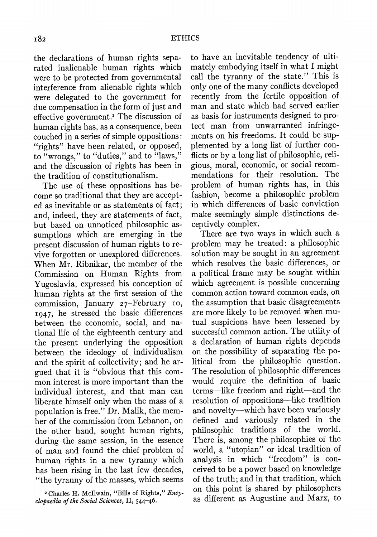**the declarations of human rights separated inalienable human rights which were to be protected from governmental interference from alienable rights which were delegated to the government for due compensation in the form of just and effective government.2 The discussion of human rights has, as a consequence, been couched in a series of simple oppositions: "rights" have been related, or opposed, to "wrongs," to "duties," and to "laws," and the discussion of rights has been in the tradition of constitutionalism.** 

**The use of these oppositions has become so traditional that they are accepted as inevitable or as statements of fact; and, indeed, they are statements of fact, but based on unnoticed philosophic assumptions which are emerging in the present discussion of human rights to revive forgotten or unexplored differences. When Mr. Ribnikar, the member of the Commission on Human Rights from Yugoslavia, expressed his conception of human rights at the first session of the commission, January 27-February IO, I947, he stressed the basic differences between the economic, social, and national life of the eighteenth century and the present underlying the opposition between the ideology of individualism and the spirit of collectivity; and he argued that it is "obvious that this common interest is more important than the individual interest, and that man can liberate himself only when the mass of a population is free." Dr. Malik, the member of the commission from Lebanon, on the other hand, sought human rights, during the same session, in the essence of man and found the chief problem of human rights in a new tyranny which has been rising in the last few decades, "the tyranny of the masses, which seems** 

**2 Charles H. McIlwain, "Bills of Rights," Encyclopaedia of the Social Sciences, II, 544-46.** 

**to have an inevitable tendency of ultimately embodying itself in what I might call the tyranny of the state." This is only one of the many conflicts developed recently from the fertile opposition of man and state which had served earlier as basis for instruments designed to protect man from unwarranted infringements on his freedoms. It could be supplemented by a long list of further conflicts or by a long list of philosophic, religious, moral, economic, or social recommendations for their resolution. The problem of human rights has, in this fashion, become a philosophic problem in which differences of basic conviction make seemingly simple distinctions deceptively complex.** 

**There are two ways in which such a problem may be treated: a philosophic solution may be sought in an agreement which resolves the basic differences, or a political frame may be sought within which agreement is possible concerning common action toward common ends, on the assumption that basic disagreements are more likely to be removed when mutual suspicions have been lessened by successful common action. The utility of a declaration of human rights depends on the possibility of separating the political from the philosophic question. The resolution of philosophic differences would require the definition of basic terms-like freedom and right-and the resolution of oppositions-like tradition and novelty-which have been variously defined and variously related in the philosophic traditions of the world. There is, among the philosophies of the world, a "utopian" or ideal tradition of analysis in which "freedom" is conceived to be a power based on knowledge of the truth; and in that tradition, which on this point is shared by philosophers as different as Augustine and Marx, to**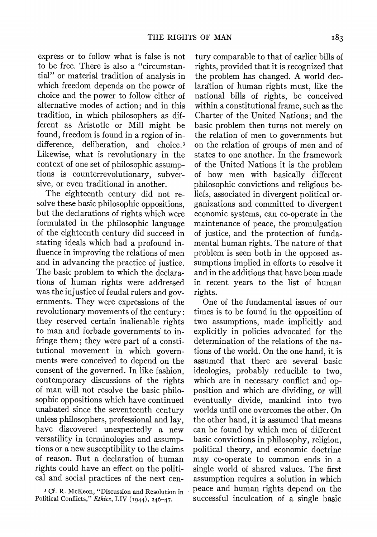**express or to follow what is false is not to be free. There is also a "circumstantial" or material tradition of analysis in which freedom depends on the power of choice and the power to follow either of alternative modes of action; and in this tradition, in which philosophers as different as Aristotle or Mill might be found, freedom is found in a region of indifference, deliberation, and choice.3 Likewise, what is revolutionary in the context of one set of philosophic assumptions is counterrevolutionary, subversive, or even traditional in another.** 

**The eighteenth century did not resolve these basic philosophic oppositions, but the declarations of rights which were formulated in the philosophic language of the eighteenth century did succeed in stating ideals which had a profound influence in improving the relations of men and in advancing the practice of justice. The basic problem to which the declarations of human rights were addressed was the injustice of feudal rulers and governments. They were expressions of the revolutionary movements of the century: they reserved certain inalienable rights to man and forbade governments' to infringe them; they were part of a constitutional movement in which governments were conceived to depend on the consent of the governed. In like fashion, contemporary discussions of the rights of man will not resolve the basic philosophic oppositions which have continued unabated since the seventeenth century unless philosophers, professional and lay, have discovered unexpectedly a new versatility in terminologies and assumptions or a new susceptibility to the claims of reason. But a declaration of human rights could have an effect on the political and social practices of the next cen-**

**3 Cf. R. McKeon, "Discussion and Resolution in Political Conflicts," Ethics, LIV (I944), 246-47.** 

**tury comparable to that of earlier bills of rights, provided that it is recognized that the problem has changed. A world declaration of human rights must, like the national bills of rights, be conceived within a constitutional frame, such as the Charter of the United Nations; and the basic problem then turns not merely on the relation of men to governments but on the relation of groups of men and of states to one another. In the framework of the United Nations it is the problem of how men with basically different philosophic convictions and religious beliefs, associated in divergent political organizations and committed to divergent economic systems, can co-operate in the maintenance of peace, the promulgation of justice, and the protection of fundamental human rights. The nature of that problem is seen both in the opposed assumptions implied in efforts to resolve it and in the additions that have been made in recent years to the list of human rights.** 

**One of the fundamental issues of our times is to be found in the opposition of two assumptions, made implicitly and explicitly in policies advocated for the determination of the relations of the nations of the world. On the one hand, it is assumed that there are several basic ideologies, probably reducible to two, which are in necessary conflict and opposition and which are dividing, or will eventually divide, mankind into two worlds until one overcomes the other. On the other hand, it is assumed that means can be found by which men of different basic convictions in philosophy, religion, political theory, and economic doctrine may co-operate to common ends in a single world of shared values. The first assumption requires a solution in which peace and human rights depend on the successful inculcation of a single basic**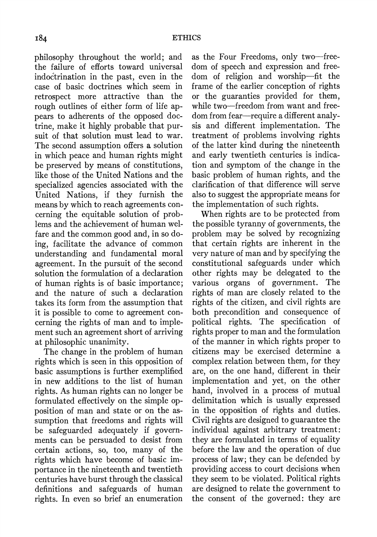**philosophy throughout the world; and the failure of efforts toward universal indoctrination in the past, even in the case of basic doctrines which seem in retrospect more attractive than the rough outlines of either form of life appears to adherents of the opposed doctrine, make it highly probable that pursuit of that solution must lead to war. The second assumption offers a solution in which peace and human rights might be preserved by means of constitutions, like those of the United Nations and the specialized agencies associated with the United Nations, if they furnish the means by which to reach agreements concerning the equitable solution of problems and the achievement of human welfare and the common good and, in so doing, facilitate the advance of common understanding and fundamental moral agreement. In the pursuit of the second solution the formulation of a declaration of human rights is of basic importance; and the nature of such a declaration takes its form from the assumption that it is possible to come to agreement concerning the rights of man and to implement such an agreement short of arriving at philosophic unanimity.** 

**The change in the problem of human rights which is seen in this opposition of basic assumptions is further exemplified in new additions to the list of human rights. As human rights can no longer be formulated effectively on the simple opposition of man and state or on the assumption that freedoms and rights will be safeguarded adequately if governments can be persuaded to desist from certain actions, so, too, many of the rights which have become of basic importance in the nineteenth and twentieth centuries have burst through the classical definitions and safeguards of human rights. In even so brief an enumeration**  **as the Four Freedoms, only two-freedom of speech and expression and freedom of religion and worship-fit the frame of the earlier conception of rights or the guaranties provided for them,**  while two-freedom from want and free**dom from fear-require a different analysis and different implementation. The treatment of problems involving rights of the latter kind during the nineteenth and early twentieth centuries is indication and symptom of the change in the basic problem of human rights, and the clarification of that difference will serve also to suggest the appropriate means for the implementation of such rights.** 

**When rights are to be protected from the possible tyranny of governments, the problem may be solved by recognizing that certain rights are inherent in the very nature of man and by specifying the constitutional safeguards under which other rights may be delegated to the various organs of government. The rights of man are closely related to the rights of the citizen, and civil rights are both precondition and consequence of political rights. The specification of rights proper to man and the formulation of the manner in which rights proper to citizens may be exercised determine a complex relation between them, for they are, on the one hand, different in their implementation and yet, on the other hand, involved in a process of mutual delimitation which is usually expressed in the opposition of rights and duties. Civil rights are designed to guarantee the individual against arbitrary treatment: they are formulated in terms of equality before the law and the operation of due process of law; they can be defended by providing access to court decisions when they seem to be violated. Political rights are designed to relate the government to the consent of the governed: they are**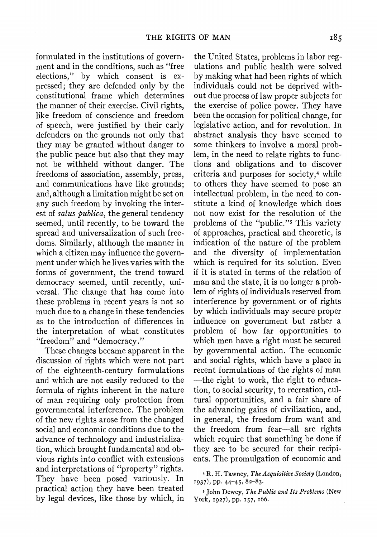**formulated in the institutions of government and in the conditions, such as "free elections," by which consent is expressed; they are defended only by the constitutional frame which determines the manner of their exercise. Civil rights, like freedom of conscience and freedom of speech, were justified by their early defenders on the grounds not only that they may be granted without danger to the public peace but also that they may not be withheld without danger. The freedoms of association, assembly, press, and communications have like grounds; and, although a limitation might be set on any such freedom by invoking the inter**est of *salus publica*, the general tendency **seemed, until recently, to be toward the spread and universalization of such freedoms. Similarly, although the manner in which a citizen may influence the government under which he lives varies with the forms of government, the trend toward democracy seemed, until recently, universal. The change that has come into these problems in recent years is not so much due to a change in these tendencies as to the introduction of differences in the interpretation of what constitutes "freedom" and "democracy."** 

**These changes became apparent in the discussion of rights which were not part of the eighteenth-century formulations and which are not easily reduced to the formula of rights inherent in the nature of man requiring only protection from governmental interference. The problem of the new rights arose from the changed social and economic conditions due to the advance of technology and industrialization, which brought fundamental and obvious rights into conflict with extensions and interpretations of "property" rights. They have been posed variously. In practical action they have been treated by legal devices, like those by which, in** 

**the United States, problems in labor regulations and public health were solved by making what had been rights of which individuals could not be deprived without due process of law proper subjects for the exercise of police power. They have been the occasion for political change, for legislative action, and for revolution. In abstract analysis they have seemed to some thinkers to involve a moral problem, in the need to relate rights to functions and obligations and to discover criteria and purposes for society,4 while to others they have seemed to pose an intellectual problem, in the need to constitute a kind of knowledge which does not now exist for the resolution of the problems of the "public."5 This variety of approaches, practical and theoretic, is indication of the nature of the problem and the diversity of implementation which is required for its solution. Even if it is stated in terms of the relation of man and the state, it is no longer a problem of rights of individuals reserved from interference by government or of rights by which individuals may secure proper influence on government but rather a problem of how far opportunities to which men have a right must be secured by governmental action. The economic and social rights, which have a place in recent formulations of the rights of man -the right to work, the right to education, to social security, to recreation, cultural opportunities, and a fair share of the advancing gains of civilization, and, in general, the freedom from want and the freedom from fear-all are rights which require that something be done if they are to be secured for their recipients. The promulgation of economic and** 

**4 R. H. Tawney, The Acquisitive Society (London, 1937), pp. 44-45, 82-83.** 

**S John Dewey, The Public and Its Problems (New York, 1927), pp. I57, i66.**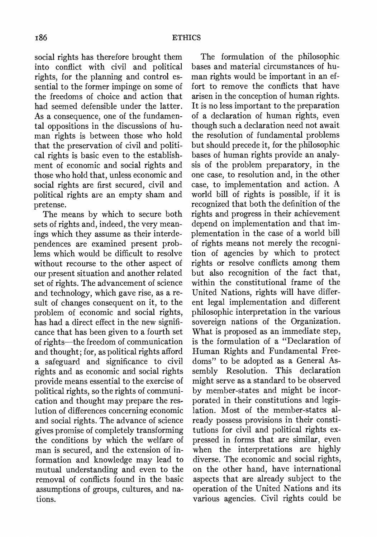**social rights has therefore brought them into conflict with civil and political rights, for the planning and control essential to the former impinge on some of the freedoms of choice and action that had seemed defensible under the latter. As a consequence, one of the fundamental oppositions in the discussions of human rights is between those who hold that the preservation of civil and political rights is basic even to the establishment of economic and social rights and those who hold that, unless economic and social rights are first secured, civil and political rights are an empty sham and pretense.** 

**The means by which to secure both sets of rights and, indeed, the very meanings which they assume as their interdependences are examined present problems which would be difficult to resolve without recourse to the other aspect of our present situation and another related set of rights. The advancement of science and technology, which gave rise, as a result of changes consequent on it, to the problem of economic and social rights, has had a direct effect in the new significance that has been given to a fourth set of rights-the freedom of communication and thought; for, as political rights afford a safeguard and significance to civil rights and as economic arid social rights provide means essential to the exercise of political rights, so the rights of communi**cation and thought may prepare the res**lution of differences concerning economic and social rights. The advance of science gives promise of completely transforming the conditions by which the welfare of man is secured, and the extension of information and knowledge may lead to mutual understanding and even to the removal of conflicts found in the basic assumptions of groups, cultures, and nations.** 

**The formulation of the philosophic bases and material circumstances of human rights would be important in an effort to remove the conflicts that have arisen in the conception of human rights. It is no less important to the preparation of a declaration of human rights, even though such a declaration need not await the resolution of fundamental problems but should precede it, for the philosophic bases of human rights provide an analysis of the problem preparatory, in the one case, to resolution and, in the other case, to implementation and action. A world bill of rights is possible, if it is recognized that both the definition of the rights and progress in their achievement depend on implementation and that implementation in the case of a world bill of rights means not merely the recognition of agencies by which to protect rights or resolve conflicts among them but also recognition of the fact that, within the constitutional frame of the United Nations, rights will have different legal implementation and different philosophic interpretation in the various sovereign nations of the Organization. What is proposed as an immediate step, is the formulation of a "Declaration of Human Rights and Fundamental Freedoms" to be adopted as a General Assembly Resolution. This declaration might serve as a standard to be observed by member-states and might be incorporated in their constitutions and legislation. Most of the member-states already possess provisions in their constitutions for civil and political rights expressed in forms that are similar, even when the interpretations are highly diverse. The economic and social rights, on the other hand, have international aspects that are already subject to the operation of the United Nations and its various agencies. Civil rights could be**